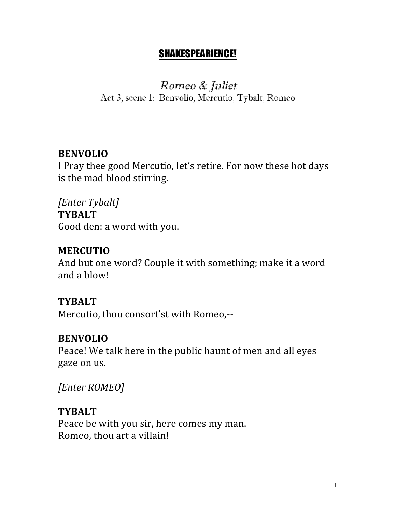## SHAKESPEARIENCE!

Romeo & Juliet Act 3, scene 1: Benvolio, Mercutio, Tybalt, Romeo

### **BENVOLIO**

I Pray thee good Mercutio, let's retire. For now these hot days is the mad blood stirring.

*[Enter Tybalt]* **TYBALT** Good den: a word with you.

#### **MERCUTIO**

And but one word? Couple it with something; make it a word and a blow!

#### **TYBALT**

Mercutio, thou consort'st with Romeo,--

#### **BENVOLIO**

Peace! We talk here in the public haunt of men and all eyes gaze on us.

*[Enter ROMEO]*

#### **TYBALT**

Peace be with you sir, here comes my man. Romeo, thou art a villain!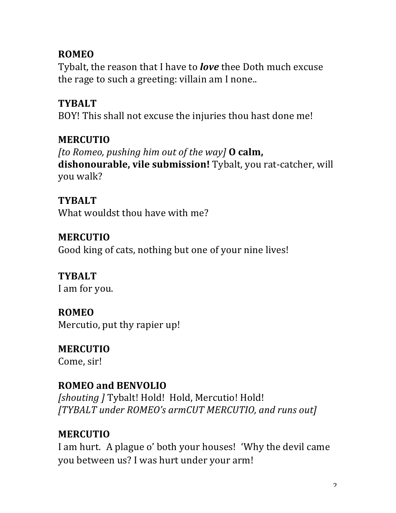## **ROMEO**

Tybalt, the reason that I have to *love* thee Doth much excuse the rage to such a greeting: villain am I none..

## **TYBALT**

BOY! This shall not excuse the injuries thou hast done me!

# **MERCUTIO**

*fto Romeo, pushing him out of the way]* **O calm, dishonourable, vile submission!** Tybalt, you rat-catcher, will you walk?

## **TYBALT** What wouldst thou have with me?

### **MERCUTIO** Good king of cats, nothing but one of your nine lives!

**TYBALT** I am for you.

# **ROMEO** Mercutio, put thy rapier up!

## **MERCUTIO** Come, sir!

# **ROMEO and BENVOLIO**

**[shouting ] Tybalt! Hold! Hold, Mercutio! Hold!** *[TYBALT under ROMEO's armCUT MERCUTIO, and runs out]*

# **MERCUTIO**

I am hurt. A plague o' both your houses! 'Why the devil came you between us? I was hurt under your arm!